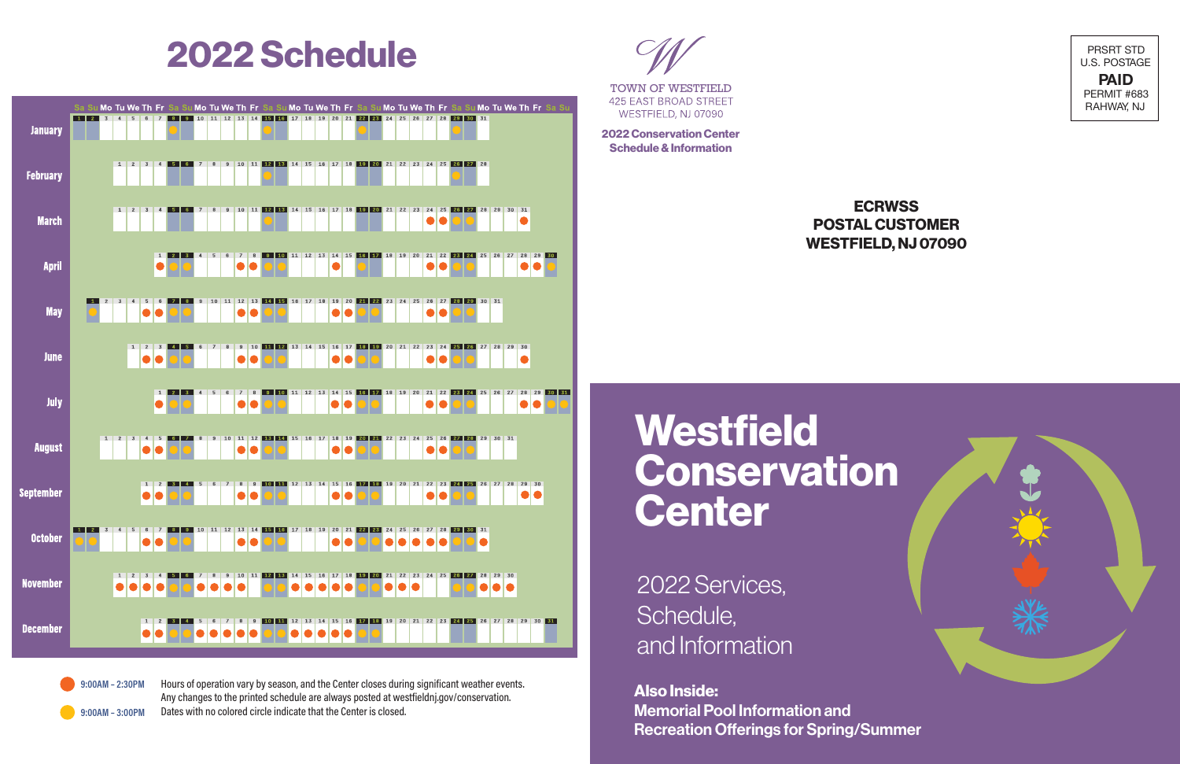

# **2022 Schedule** PRSRT STD



TOWN OF WESTFIELD

**425 EAST BROAD STREET** WESTFIELD, NJ 07090

**2022 Conservation Center Schedule & Information**

## **ECRWSS POSTAL CUSTOMER WESTFIELD, NJ 07090**



**Also Inside:** Memorial Pool Information and Recreation Offerings for Spring/Summer

 $9:00AM - 2:30PM$ 

 $9:00AM - 3:00PM$ 

Hours of operation vary by season, and the Center closes during significant weather events. Any changes to the printed schedule are always posted at westfieldnj.gov/conservation. Dates with no colored circle indicate that the Center is closed.

**Westfield Conservation Center**

2022 Services, Schedule, and Information